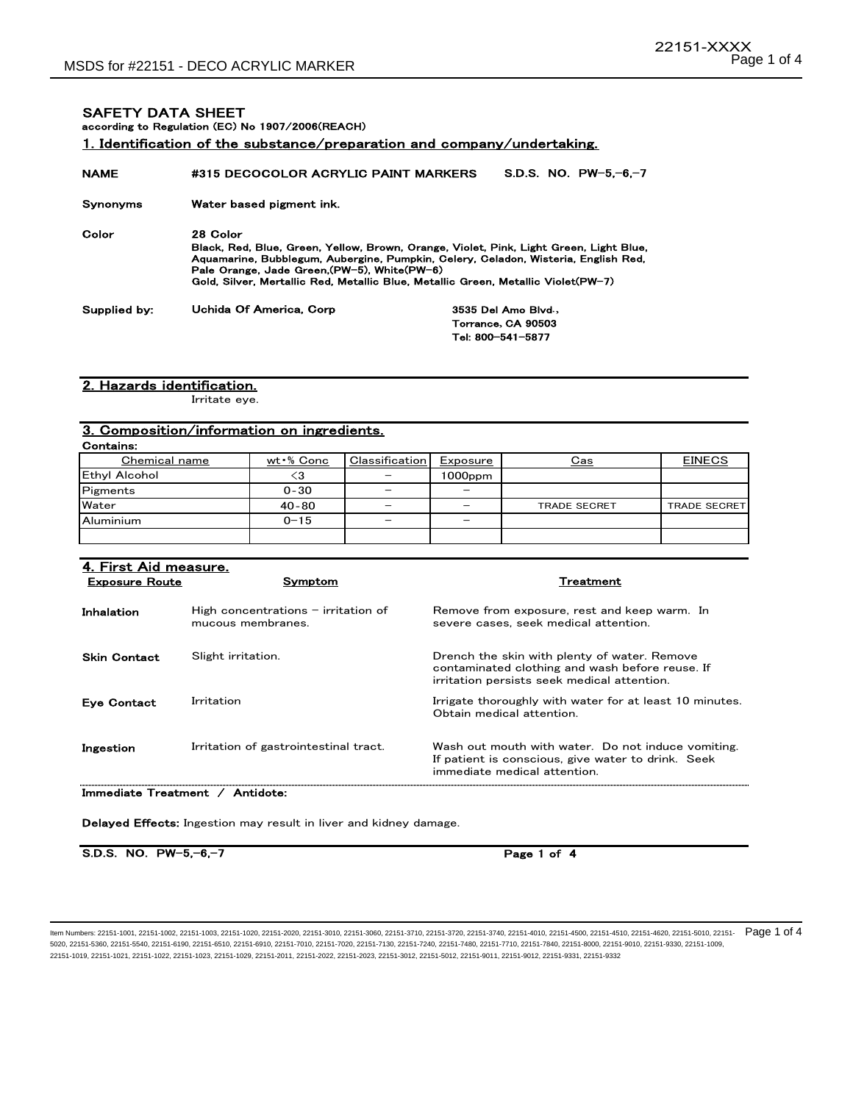SAFETY DATA SHEET

### 1. Identification of the substance/preparation and company/undertaking. NAME #315 DECOCOLOR ACRYLIC PAINT MARKERS Synonyms Water based pigment ink. Color 28 Color Supplied by: according to Regulation (EC) No 1907/2006(REACH) Black, Red, Blue, Green, Yellow, Brown, Orange, Violet, Pink, Light Green, Light Blue, Aquamarine, Bubblegum, Aubergine, Pumpkin, Celery, Celadon, Wisteria, English Red, Pale Orange, Jade Green,(PW-5), White(PW-6) Gold, Silver, Mertallic Red, Metallic Blue, Metallic Green, Metallic Violet(PW-7) S.D.S. NO. PW-5,-6,-7 Uchida Of America, Corp 3535 Del Amo Blvd**.,** Torrance**,** CA 90503 Tel: 800-541-5877

#### 2. Hazards identification.

Irritate eye.

# 3. Composition/information on ingredients.

Contains: wt · % Conc Classification Exposure Cas Cas EINECS  $\langle 3 | 1000$ ppm  $0 - 30$   $-$ 40‐80 – – – – –  $0-15$  -  $-$  -Chemical name Ethyl Alcohol Aluminium Water **Pigments** TRADE SECRET TRADE SECRET

| 4. First Aid measure.<br><b>Exposure Route</b> | Symptom                                                    | Treatment                                                                                                                                      |
|------------------------------------------------|------------------------------------------------------------|------------------------------------------------------------------------------------------------------------------------------------------------|
| Inhalation                                     | High concentrations $-$ irritation of<br>mucous membranes. | Remove from exposure, rest and keep warm. In<br>severe cases, seek medical attention.                                                          |
| <b>Skin Contact</b>                            | Slight irritation.                                         | Drench the skin with plenty of water. Remove<br>contaminated clothing and wash before reuse. If<br>irritation persists seek medical attention. |
| <b>Eve Contact</b>                             | Irritation                                                 | Irrigate thoroughly with water for at least 10 minutes.<br>Obtain medical attention.                                                           |
| Ingestion                                      | Irritation of gastrointestinal tract.                      | Wash out mouth with water. Do not induce vomiting.<br>If patient is conscious, give water to drink. Seek<br>immediate medical attention.       |
|                                                |                                                            |                                                                                                                                                |

Immediate Treatment / Antidote:

Delayed Effects: Ingestion may result in liver and kidney damage.

S.D.S. NO. PW-5,-6,-7

Page 1 of 4

ltem Numbers: 22151-1001, 22151-1002, 22151-1003, 22151-1020, 22151-2020, 22151-3010, 22151-3060, 22151-3710, 22151-3720, 22151-3740, 22151-4010, 22151-4500, 22151-4510, 22151-4510, 22151-4620, 22151-6010, 22151-4520, 2215 5020, 22151-5360, 22151-5540, 22151-6190, 22151-6510, 22151-6910, 22151-7010, 22151-7020, 22151-7130, 22151-7240, 22151-7480, 22151-7710, 22151-7840, 22151-8000, 22151-9010, 22151-9330, 22151-1009, 22151-1019, 22151-1021, 22151-1022, 22151-1023, 22151-1029, 22151-2011, 22151-2022, 22151-2023, 22151-3012, 22151-5012, 22151-9011, 22151-9012, 22151-9331, 22151-9332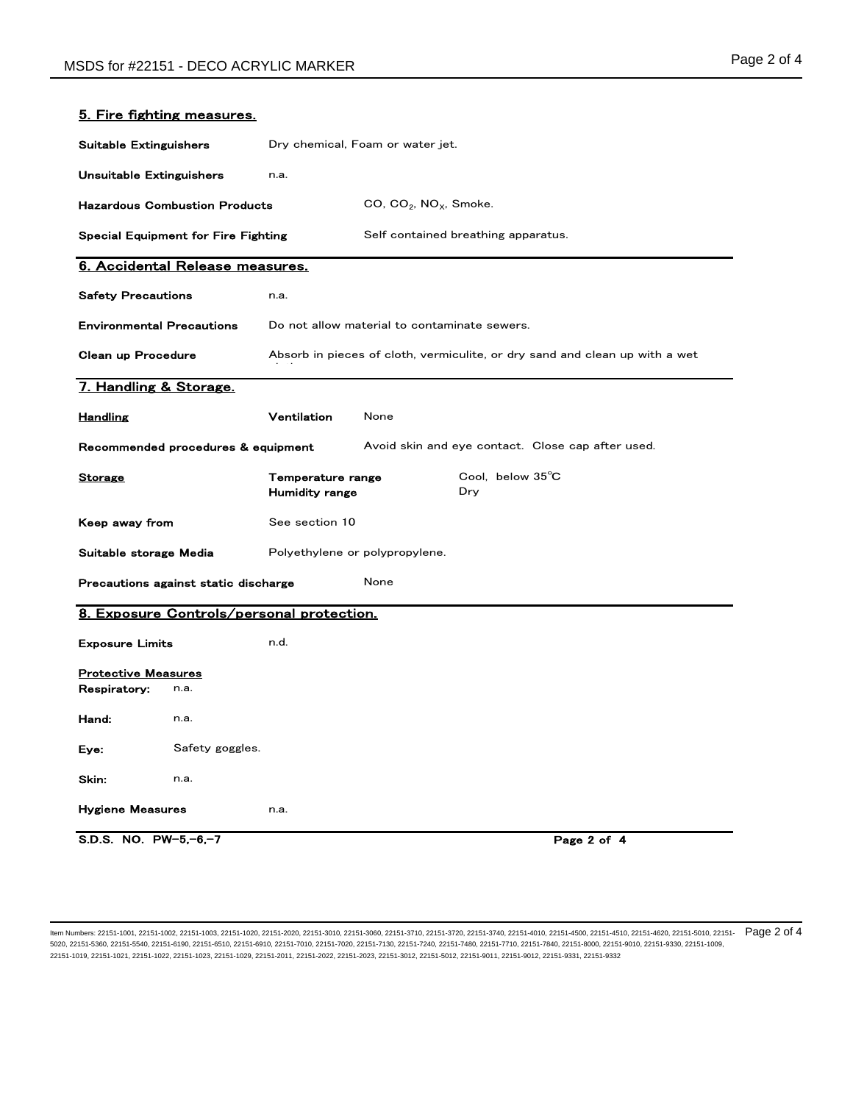| <b>Suitable Extinguishers</b>              |                                            | Dry chemical, Foam or water jet.                                            |                                                   |                         |             |
|--------------------------------------------|--------------------------------------------|-----------------------------------------------------------------------------|---------------------------------------------------|-------------------------|-------------|
| Unsuitable Extinguishers                   |                                            | n.a.                                                                        |                                                   |                         |             |
|                                            | <b>Hazardous Combustion Products</b>       |                                                                             | $CO$ , $CO2$ , $NOX$ , Smoke.                     |                         |             |
|                                            | <b>Special Equipment for Fire Fighting</b> |                                                                             | Self contained breathing apparatus.               |                         |             |
|                                            | 6. Accidental Release measures.            |                                                                             |                                                   |                         |             |
| <b>Safety Precautions</b>                  |                                            | n.a.                                                                        |                                                   |                         |             |
| <b>Environmental Precautions</b>           |                                            | Do not allow material to contaminate sewers.                                |                                                   |                         |             |
| Clean up Procedure                         |                                            | Absorb in pieces of cloth, vermiculite, or dry sand and clean up with a wet |                                                   |                         |             |
| 7. Handling & Storage.                     |                                            |                                                                             |                                                   |                         |             |
| <u>Handling</u>                            |                                            | Ventilation                                                                 | None                                              |                         |             |
| Recommended procedures & equipment         |                                            |                                                                             | Avoid skin and eye contact. Close cap after used. |                         |             |
| <b>Storage</b>                             |                                            | Temperature range<br><b>Humidity range</b>                                  |                                                   | Cool. below 35°C<br>Dry |             |
| Keep away from                             |                                            | See section 10                                                              |                                                   |                         |             |
| Suitable storage Media                     |                                            | Polyethylene or polypropylene.                                              |                                                   |                         |             |
| Precautions against static discharge       |                                            | None                                                                        |                                                   |                         |             |
|                                            |                                            | 8. Exposure Controls/personal protection.                                   |                                                   |                         |             |
| <b>Exposure Limits</b>                     |                                            | n.d.                                                                        |                                                   |                         |             |
| <b>Protective Measures</b><br>Respiratory: | n.a.                                       |                                                                             |                                                   |                         |             |
| Hand:                                      | n.a.                                       |                                                                             |                                                   |                         |             |
| Eye:                                       | Safety goggles.                            |                                                                             |                                                   |                         |             |
| Skin:                                      | n.a.                                       |                                                                             |                                                   |                         |             |
| <b>Hygiene Measures</b>                    |                                            | n.a.                                                                        |                                                   |                         |             |
| S.D.S. NO. $PW-5,-6,-7$                    |                                            |                                                                             |                                                   |                         | Page 2 of 4 |

### 5. Fire fighting measures.

ltem Numbers: 22151-1001, 22151-1002, 22151-1003, 22151-1020, 22151-2020, 22151-3010, 22151-3060, 22151-3710, 22151-3720, 22151-3740, 22151-4010, 22151-4500, 22151-4510, 22151-4510, 22151-4620, 22151-6510, 22151-4520, 2215 5020, 22151-5360, 22151-5540, 22151-6190, 22151-6510, 22151-6910, 22151-7010, 22151-7020, 22151-7130, 22151-7240, 22151-7480, 22151-7710, 22151-7840, 22151-8000, 22151-9010, 22151-9330, 22151-1009, 22151-1019, 22151-1021, 22151-1022, 22151-1023, 22151-1029, 22151-2011, 22151-2022, 22151-2023, 22151-3012, 22151-5012, 22151-9011, 22151-9012, 22151-9331, 22151-9332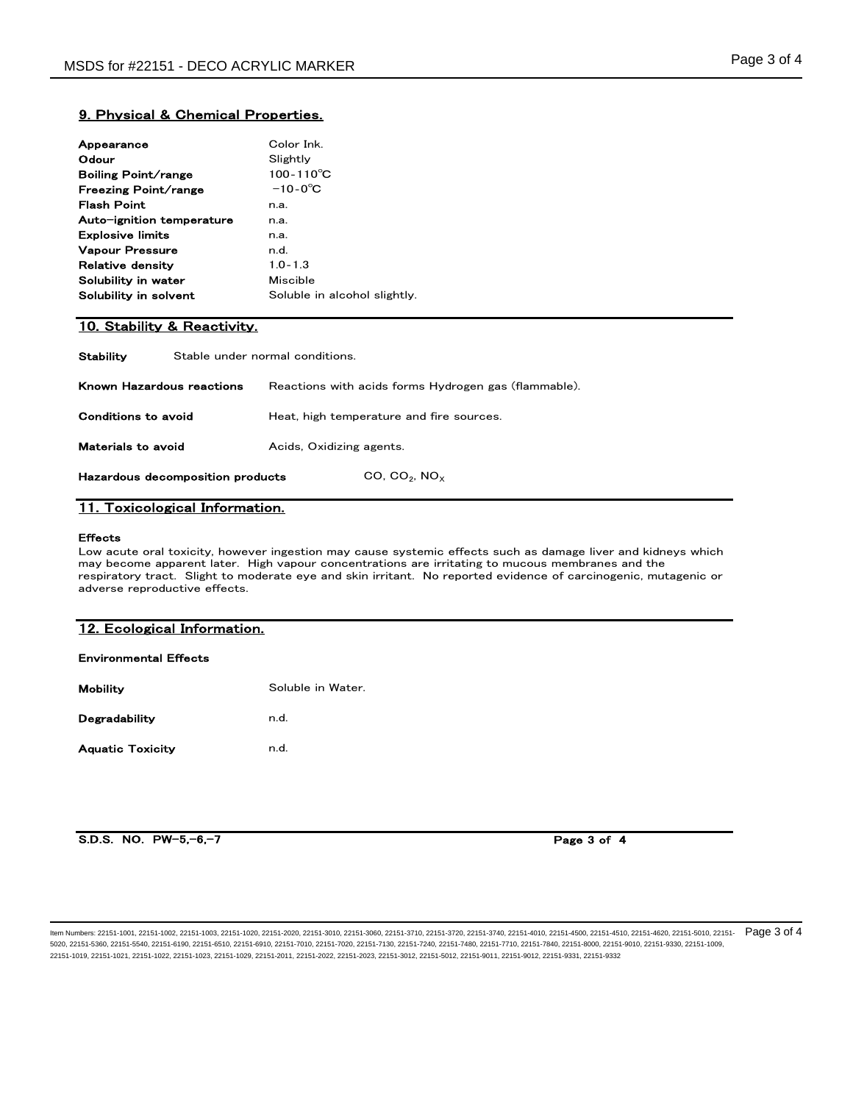# 9. Physical & Chemical Properties.

| Appearance                | Color Ink                    |
|---------------------------|------------------------------|
| Odour                     | Slightly                     |
| Boiling Point/range       | $100 - 110^{\circ}$ C        |
| Freezing Point/range      | $-10-0^{\circ}$ C            |
| Flash Point               | n.a.                         |
| Auto-ignition temperature | n.a.                         |
| <b>Explosive limits</b>   | n.a.                         |
| <b>Vapour Pressure</b>    | n.d.                         |
| Relative densitv          | $1.0 - 1.3$                  |
| Solubility in water       | Miscible                     |
| Solubility in solvent     | Soluble in alcohol slightly. |
|                           |                              |

# 10. Stability & Reactivity.

**Stability** Stable under normal conditions.

Hazardous decomposition products  $CO, CO_2, NO_X$ 

| Known Hazardous reactions | Reactions with acids forms Hydrogen gas (flammable). |
|---------------------------|------------------------------------------------------|
| Conditions to avoid       | Heat, high temperature and fire sources.             |
| Materials to avoid        | Acids, Oxidizing agents.                             |

# 11. Toxicological Information.

#### Effects

Low acute oral toxicity, however ingestion may cause systemic effects such as damage liver and kidneys which may become apparent later. High vapour concentrations are irritating to mucous membranes and the respiratory tract. Slight to moderate eye and skin irritant. No reported evidence of carcinogenic, mutagenic or adverse reproductive effects.

### 12. Ecological Information.

#### Environmental Effects

| <b>Mobility</b>         | Soluble in Water. |
|-------------------------|-------------------|
| Degradability           | n.d.              |
| <b>Aquatic Toxicity</b> | n.d.              |

S.D.S. NO. PW-5,-6,-7

Page 3 of 4

ltem Numbers: 22151-1001, 22151-1002, 22151-1003, 22151-1020, 22151-2020, 22151-3010, 22151-3060, 22151-3710, 22151-3720, 22151-3740, 22151-4010, 22151-4500, 22151-4510, 22151-4510, 22151-4620, 22151-6010, 22151-4510, 2215 5020, 22151-5360, 22151-5540, 22151-6190, 22151-6510, 22151-6910, 22151-7010, 22151-7020, 22151-7130, 22151-7240, 22151-7480, 22151-7710, 22151-7840, 22151-8000, 22151-9010, 22151-9330, 22151-1009, 22151-1019, 22151-1021, 22151-1022, 22151-1023, 22151-1029, 22151-2011, 22151-2022, 22151-2023, 22151-3012, 22151-5012, 22151-9011, 22151-9012, 22151-9331, 22151-9332